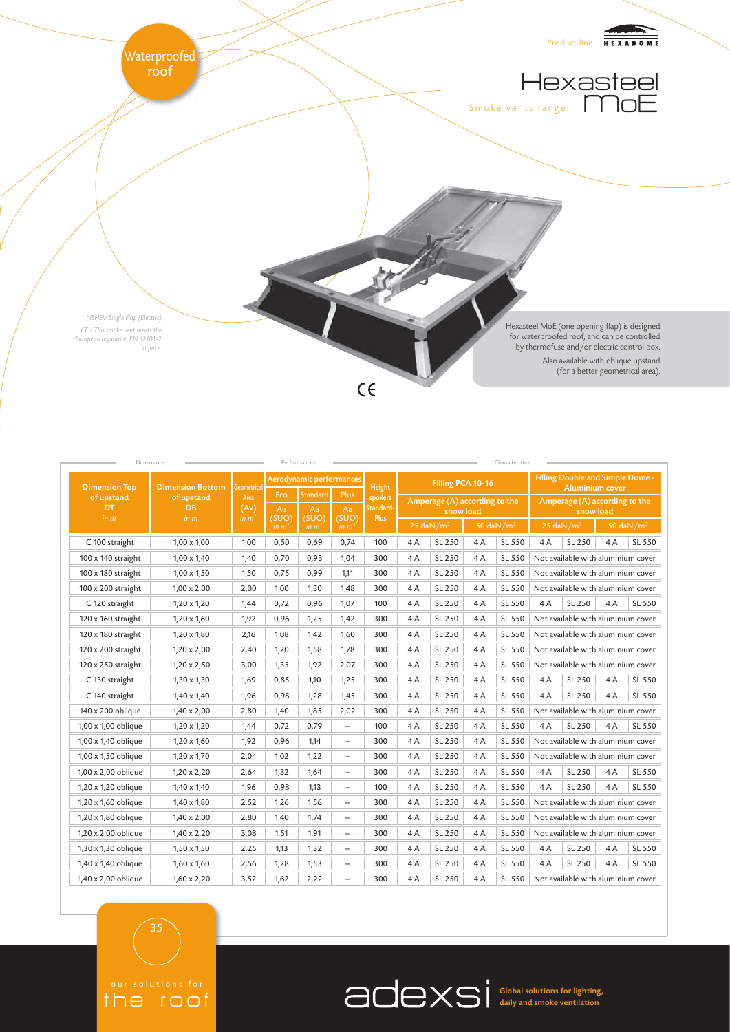

| Dimensions                |                         |              |           | Performances             |                          |                       |                                            |                          |    | Characteristics               |                                                                   |                          |    |                       |
|---------------------------|-------------------------|--------------|-----------|--------------------------|--------------------------|-----------------------|--------------------------------------------|--------------------------|----|-------------------------------|-------------------------------------------------------------------|--------------------------|----|-----------------------|
| <b>Dimension Top</b>      | <b>Dimension Bottom</b> | Geometrica   |           | Aerodynamic performances |                          | Height                | Filling PCA 10-16                          |                          |    |                               | <b>Filling Double and Simple Dome -</b><br><b>Aluminium cover</b> |                          |    |                       |
| of upstand<br>DT          | of upstand<br><b>DB</b> | Area<br>(Av) | Eco<br>Aa | <b>Standard</b><br>Aa    | Plus<br>Aa               | spoilers<br>Standard- | Amperage (A) according to the<br>snow load |                          |    | Amperage (A) according to the |                                                                   |                          |    |                       |
| in m                      | in m                    | in $m2$      | (SUO)     | (SUO)                    | (SUO)                    | Plus                  |                                            |                          |    | snow load                     |                                                                   |                          |    |                       |
|                           |                         |              | in $m2$   | in $m2$                  | in m <sup>2</sup>        |                       |                                            | $25$ daN /m <sup>2</sup> |    | 50 daN/m <sup>2</sup>         |                                                                   | $25$ daN /m <sup>2</sup> |    | 50 daN/m <sup>2</sup> |
| C 100 straight            | $1,00 \times 1,00$      | 1,00         | 0,50      | 0,69                     | 0,74                     | 100                   | 4A                                         | SL 250                   | 4A | SL 550                        | 4A                                                                | SL 250                   | 4A | SL 550                |
| 100 x 140 straight        | $1,00 \times 1,40$      | 1,40         | 0,70      | 0,93                     | 1,04                     | 300                   | 4A                                         | SL 250                   | 4A | SL 550                        | Not available with aluminium cover                                |                          |    |                       |
| 100 x 180 straight        | $1,00 \times 1,50$      | 1,50         | 0,75      | 0,99                     | 1.11                     | 300                   | 4A                                         | SL 250                   | 4A | SL 550                        | Not available with aluminium cover                                |                          |    |                       |
| $100 \times 200$ straight | $1,00 \times 2,00$      | 2,00         | 1,00      | 1,30                     | 1,48                     | 300                   | 4A                                         | SL 250                   | 4A | SL 550                        | Not available with aluminium cover                                |                          |    |                       |
| C 120 straight            | $1,20 \times 1,20$      | 1,44         | 0,72      | 0,96                     | 1,07                     | 100                   | 4A                                         | SL 250                   | 4A | SL 550                        | 4A                                                                | SL 250                   | 4A | SL 550                |
| 120 x 160 straight        | $1,20 \times 1,60$      | 1,92         | 0,96      | 1,25                     | 1,42                     | 300                   | 4A                                         | SL 250                   | 4A | SL 550                        | Not available with aluminium cover                                |                          |    |                       |
| 120 x 180 straight        | $1,20 \times 1,80$      | 2,16         | 1,08      | 1,42                     | 1,60                     | 300                   | 4A                                         | SL 250                   | 4A | SL 550                        | Not available with aluminium cover                                |                          |    |                       |
| 120 x 200 straight        | $1,20 \times 2,00$      | 2,40         | 1,20      | 1,58                     | 1,78                     | 300                   | 4A                                         | SL 250                   | 4A | SL 550                        | Not available with aluminium cover                                |                          |    |                       |
| 120 x 250 straight        | $1,20 \times 2,50$      | 3,00         | 1,35      | 1,92                     | 2,07                     | 300                   | 4A                                         | SL 250                   | 4A | SL 550                        | Not available with aluminium cover                                |                          |    |                       |
| C 130 straight            | $1,30 \times 1,30$      | 1,69         | 0,85      | 1,10                     | 1,25                     | 300                   | 4A                                         | SL 250                   | 4A | SL 550                        | 4A                                                                | SL 250                   | 4A | SL 550                |
| C 140 straight            | $1,40 \times 1,40$      | 1,96         | 0,98      | 1,28                     | 1,45                     | 300                   | 4A                                         | SL 250                   | 4A | SL 550                        | 4A                                                                | SL 250                   | 4A | SL 550                |
| 140 x 200 oblique         | $1,40 \times 2,00$      | 2,80         | 1,40      | 1,85                     | 2,02                     | 300                   | 4A                                         | SL 250                   | 4A | SL 550                        | Not available with aluminium cover                                |                          |    |                       |
| 1,00 x 1,00 oblique       | $1,20 \times 1,20$      | 1,44         | 0,72      | 0,79                     | $\overline{\phantom{0}}$ | 100                   | 4A                                         | SL 250                   | 4A | SL 550                        | 4A                                                                | SL 250                   | 4A | SL 550                |
| 1,00 x 1,40 oblique       | $1,20 \times 1,60$      | 1,92         | 0,96      | 1,14                     | $\overline{\phantom{0}}$ | 300                   | 4A                                         | SL 250                   | 4A | SL 550                        | Not available with aluminium cover                                |                          |    |                       |
| 1,00 x 1,50 oblique       | $1,20 \times 1,70$      | 2,04         | 1,02      | 1,22                     | $\overline{\phantom{0}}$ | 300                   | 4A                                         | SL 250                   | 4A | SL 550                        | Not available with aluminium cover                                |                          |    |                       |
| 1,00 x 2,00 oblique       | $1,20 \times 2,20$      | 2,64         | 1,32      | 1,64                     | $\overline{\phantom{0}}$ | 300                   | 4A                                         | SL 250                   | 4A | SL 550                        | 4A                                                                | SL 250                   | 4A | SL 550                |
| 1,20 x 1,20 oblique       | $1,40 \times 1,40$      | 1,96         | 0,98      | 1,13                     |                          | 100                   | 4A                                         | SL 250                   | 4A | SL 550                        | 4A                                                                | SL 250                   | 4A | SL 550                |
| 1,20 x 1,60 oblique       | $1,40 \times 1,80$      | 2,52         | 1,26      | 1,56                     | $\overline{\phantom{0}}$ | 300                   | 4A                                         | SL 250                   | 4A | SL 550                        | Not available with aluminium cover                                |                          |    |                       |
| 1,20 x 1,80 oblique       | $1,40 \times 2,00$      | 2,80         | 1,40      | 1,74                     | $\overline{\phantom{0}}$ | 300                   | 4A                                         | SL 250                   | 4A | SL 550                        | Not available with aluminium cover                                |                          |    |                       |
| 1,20 x 2,00 oblique       | $1,40 \times 2,20$      | 3,08         | 1,51      | 1,91                     | $\overline{\phantom{0}}$ | 300                   | 4A                                         | SL 250                   | 4A | SL 550                        | Not available with aluminium cover                                |                          |    |                       |
| 1,30 x 1,30 oblique       | $1,50 \times 1,50$      | 2,25         | 1,13      | 1,32                     | $\qquad \qquad -$        | 300                   | 4A                                         | SL 250                   | 4A | SL 550                        | 4A                                                                | SL 250                   | 4A | SL 550                |
| 1,40 x 1,40 oblique       | $1,60 \times 1,60$      | 2,56         | 1,28      | 1,53                     |                          | 300                   | 4A                                         | SL 250                   | 4A | SL 550                        | 4A                                                                | SL 250                   | 4A | SL 550                |
| 1,40 x 2,00 oblique       | $1,60 \times 2,20$      | 3,52         | 1,62      | 2,22                     | $\overline{\phantom{0}}$ | 300                   | 4A                                         | SL 250                   | 4A | SL 550                        | Not available with aluminium cover                                |                          |    |                       |

35

the roof

Global solutions for lighting, daily and smoke ventilation